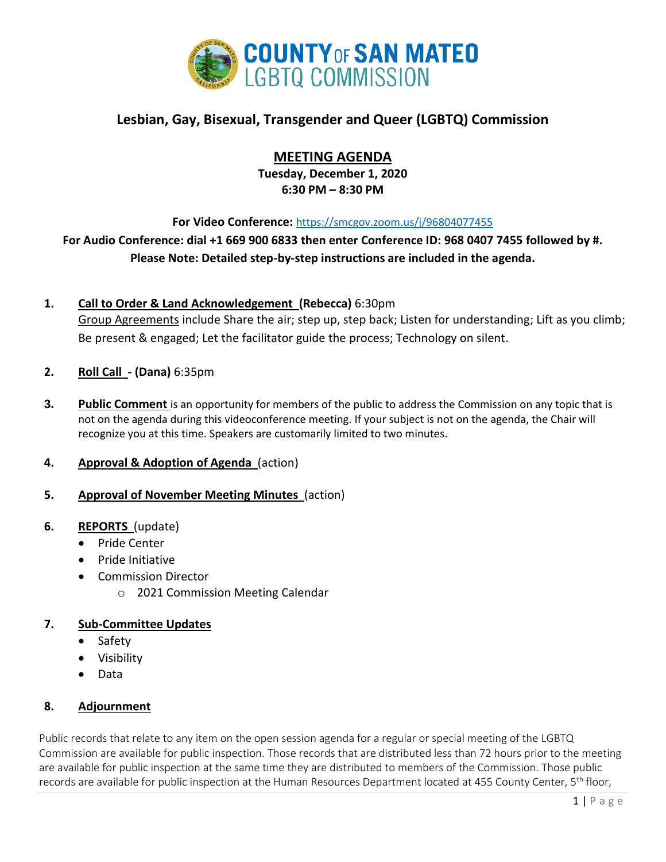

# **Lesbian, Gay, Bisexual, Transgender and Queer (LGBTQ) Commission**

# **MEETING AGENDA**

**Tuesday, December 1, 2020 6:30 PM – 8:30 PM**

**For Video Conference:** <https://smcgov.zoom.us/j/96804077455>

**For Audio Conference: dial +1 669 900 6833 then enter Conference ID: 968 0407 7455 followed by #. Please Note: Detailed step-by-step instructions are included in the agenda.**

- **1. Call to Order & Land Acknowledgement (Rebecca)** 6:30pm Group Agreements include Share the air; step up, step back; Listen for understanding; Lift as you climb; Be present & engaged; Let the facilitator guide the process; Technology on silent.
- **2. Roll Call - (Dana)** 6:35pm
- **3. Public Comment** is an opportunity for members of the public to address the Commission on any topic that is not on the agenda during this videoconference meeting. If your subject is not on the agenda, the Chair will recognize you at this time. Speakers are customarily limited to two minutes.
- **4. Approval & Adoption of Agenda** (action)
- **5. Approval of November Meeting Minutes** (action)

# **6. REPORTS** (update)

- Pride Center
- Pride Initiative
- Commission Director
	- o 2021 Commission Meeting Calendar

# **7. Sub-Committee Updates**

- Safety
- Visibility
- Data

# **8. Adjournment**

Public records that relate to any item on the open session agenda for a regular or special meeting of the LGBTQ Commission are available for public inspection. Those records that are distributed less than 72 hours prior to the meeting are available for public inspection at the same time they are distributed to members of the Commission. Those public records are available for public inspection at the Human Resources Department located at 455 County Center, 5<sup>th</sup> floor,